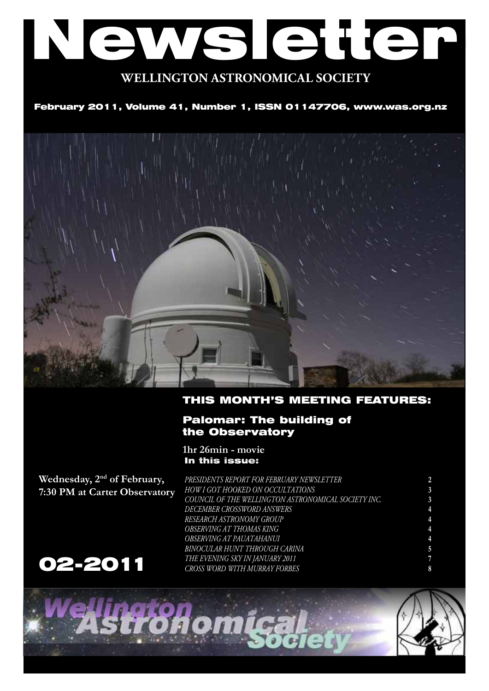# Newsletter

**WELLINGTON ASTRONOMICAL SOCIETY**

February 2011, Volume 41, Number 1, ISSN 01147706, www.was.org.nz



## THIS MONTH'S MEETING FEATURES:

## Palomar: The building of the Observatory

In this issue: **1hr 26min - movie**

**Wednesday, 2nd of February, 7:30 PM at Carter Observatory**

02-2011

*Presidents Report for February Newsletter* **2** *How I got hooked on Occultations* **3** *COUNCIL OF THE WELLINGTON ASTRONOMICAL SOCIETY INC.* **3 DECEMBER CROSSWORD ANSWERS** *Research Astronomy Group* **4** *OBSERVING AT THOMAS KING* **4** *OBSERVING AT PAUATAHANUI* **4** *Binocular hunt through Carina* **5** *The Evening Sky in January 2011* **7** *Cross Word with Murray Forbes* **8**

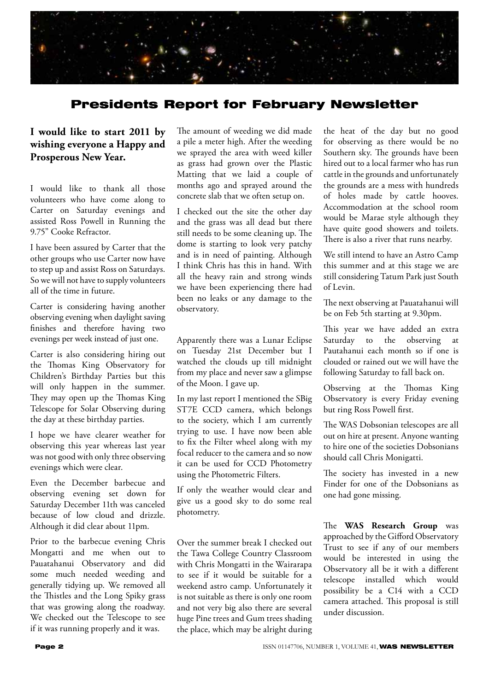

## Presidents Report for February Newsletter

## **I would like to start 2011 by wishing everyone a Happy and Prosperous New Year.**

I would like to thank all those volunteers who have come along to Carter on Saturday evenings and assisted Ross Powell in Running the 9.75" Cooke Refractor.

I have been assured by Carter that the other groups who use Carter now have to step up and assist Ross on Saturdays. So we will not have to supply volunteers all of the time in future.

Carter is considering having another observing evening when daylight saving finishes and therefore having two evenings per week instead of just one.

Carter is also considering hiring out the Thomas King Observatory for Children's Birthday Parties but this will only happen in the summer. They may open up the Thomas King Telescope for Solar Observing during the day at these birthday parties.

I hope we have clearer weather for observing this year whereas last year was not good with only three observing evenings which were clear.

Even the December barbecue and observing evening set down for Saturday December 11th was canceled because of low cloud and drizzle. Although it did clear about 11pm.

Prior to the barbecue evening Chris Mongatti and me when out to Pauatahanui Observatory and did some much needed weeding and generally tidying up. We removed all the Thistles and the Long Spiky grass that was growing along the roadway. We checked out the Telescope to see if it was running properly and it was.

The amount of weeding we did made a pile a meter high. After the weeding we sprayed the area with weed killer as grass had grown over the Plastic Matting that we laid a couple of months ago and sprayed around the concrete slab that we often setup on.

I checked out the site the other day and the grass was all dead but there still needs to be some cleaning up. The dome is starting to look very patchy and is in need of painting. Although I think Chris has this in hand. With all the heavy rain and strong winds we have been experiencing there had been no leaks or any damage to the observatory.

#### Apparently there was a Lunar Eclipse on Tuesday 21st December but I watched the clouds up till midnight from my place and never saw a glimpse of the Moon. I gave up.

In my last report I mentioned the SBig ST7E CCD camera, which belongs to the society, which I am currently trying to use. I have now been able to fix the Filter wheel along with my focal reducer to the camera and so now it can be used for CCD Photometry using the Photometric Filters.

If only the weather would clear and give us a good sky to do some real photometry.

Over the summer break I checked out the Tawa College Country Classroom with Chris Mongatti in the Wairarapa to see if it would be suitable for a weekend astro camp. Unfortunately it is not suitable as there is only one room and not very big also there are several huge Pine trees and Gum trees shading the place, which may be alright during

the heat of the day but no good for observing as there would be no Southern sky. The grounds have been hired out to a local farmer who has run cattle in the grounds and unfortunately the grounds are a mess with hundreds of holes made by cattle hooves. Accommodation at the school room would be Marae style although they have quite good showers and toilets. There is also a river that runs nearby.

We still intend to have an Astro Camp this summer and at this stage we are still considering Tatum Park just South of Levin.

The next observing at Pauatahanui will be on Feb 5th starting at 9.30pm.

This year we have added an extra Saturday to the observing at Pautahanui each month so if one is clouded or rained out we will have the following Saturday to fall back on.

Observing at the Thomas King Observatory is every Friday evening but ring Ross Powell first.

The WAS Dobsonian telescopes are all out on hire at present. Anyone wanting to hire one of the societies Dobsonians should call Chris Monigatti.

The society has invested in a new Finder for one of the Dobsonians as one had gone missing.

The **WAS Research Group** was approached by the Gifford Observatory Trust to see if any of our members would be interested in using the Observatory all be it with a different telescope installed which would possibility be a C14 with a CCD camera attached. This proposal is still under discussion.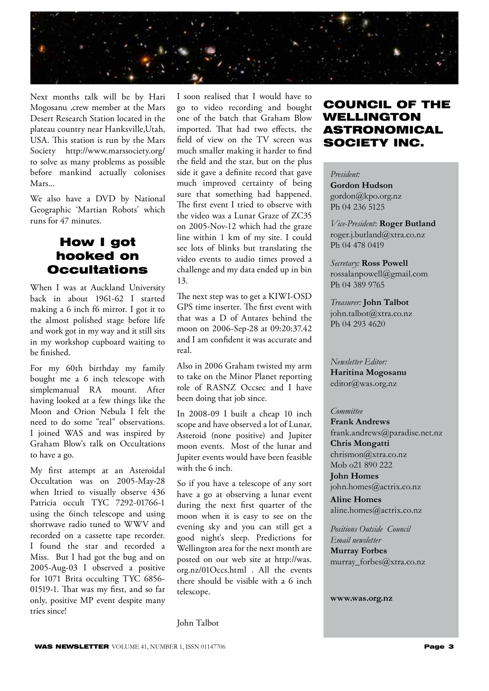

Next months talk will be by Hari Mogosanu ,crew member at the Mars Desert Research Station located in the plateau country near Hanksville,Utah, USA. This station is run by the Mars Society http://www.marssociety.org/ to solve as many problems as possible before mankind actually colonises Mars...

We also have a DVD by National Geographic 'Martian Robots' which runs for 47 minutes.

# How I got hooked on **Occultations**

When I was at Auckland University back in about 1961-62 I started making a 6 inch f6 mirror. I got it to the almost polished stage before life and work got in my way and it still sits in my workshop cupboard waiting to be finished.

For my 60th birthday my family bought me a 6 inch telescope with simplemanual RA mount. After having looked at a few things like the Moon and Orion Nebula I felt the need to do some "real" observations. I joined WAS and was inspired by Graham Blow's talk on Occultations to have a go.

My first attempt at an Asteroidal Occultation was on 2005-May-28 when Itried to visually observe 436 Patricia occult TYC 7292-01766-1 using the 6inch telescope and using shortwave radio tuned to WWV and recorded on a cassette tape recorder. I found the star and recorded a Miss. But I had got the bug and on 2005-Aug-03 I observed a positive for 1071 Brita occulting TYC 6856- 01519-1. That was my first, and so far only, positive MP event despite many tries since!

I soon realised that I would have to go to video recording and bought one of the batch that Graham Blow imported. That had two effects, the field of view on the TV screen was much smaller making it harder to find the field and the star, but on the plus side it gave a definite record that gave much improved certainty of being sure that something had happened. The first event I tried to observe with the video was a Lunar Graze of ZC35 on 2005-Nov-12 which had the graze line within 1 km of my site. I could see lots of blinks but translating the video events to audio times proved a challenge and my data ended up in bin 13.

The next step was to get a KIWI-OSD GPS time inserter. The first event with that was a D of Antares behind the moon on 2006-Sep-28 at 09:20:37.42 and I am confident it was accurate and real.

Also in 2006 Graham twisted my arm to take on the Minor Planet reporting role of RASNZ Occsec and I have been doing that job since.

In 2008-09 I built a cheap 10 inch scope and have observed a lot of Lunar, Asteroid (none positive) and Jupiter moon events. Most of the lunar and Jupiter events would have been feasible with the 6 inch.

So if you have a telescope of any sort have a go at observing a lunar event during the next first quarter of the moon when it is easy to see on the evening sky and you can still get a good night's sleep. Predictions for Wellington area for the next month are posted on our web site at http://was. org.nz/01Occs.html . All the events there should be visible with a 6 inch telescope.

#### John Talbot

## COUNCIL OF THE WELLINGTON ASTRONOMICAL SOCIETY INC.

#### *President:*

**Gordon Hudson** gordon@kpo.org.nz Ph 04 236 5125

*Vice-President*: **Roger Butland** roger.j.butland@xtra.co.nz Ph 04 478 0419

*Secretary:* **Ross Powell** rossalanpowell@gmail.com Ph 04 389 9765

*Treasurer:* **John Talbot** john.talbot@xtra.co.nz Ph 04 293 4620

*Newsletter Editor:*  **Haritina Mogosanu** editor@was.org.nz

#### *Committee*

**Frank Andrews** frank.andrews@paradise.net.nz **Chris Mongatti** chrismon@xtra.co.nz Mob o21 890 222

**John Homes** john.homes@actrix.co.nz

**Aline Homes** aline.homes@actrix.co.nz

*Positions Outside Council Email newsletter* **Murray Forbes** murray forbes@xtra.co.nz

**www.was.org.nz**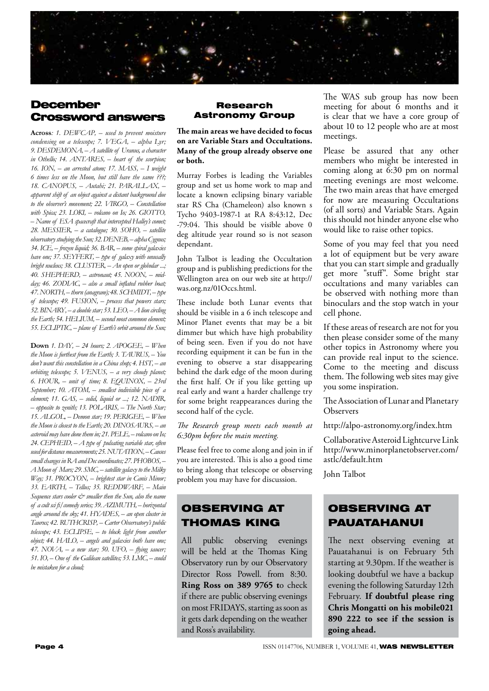

# **December** Crossword answers

Across: 1. DEWCAP, - used to prevent moisture *condensing on a telescope; 7. VEGA, – alpha Lyr; 9. DESDEMONA' – A satellite of Uranus, a character in Othello; 14. ANTARES, – heart of the scorpion;* 16. ION,  $-$  an arrested atom; 17. MASS,  $-$  I weight *6 times less on the Moon, but still have the same ???; 18. CANOPUS' – Autahi; 21. PARALLAX' – apparent shift of an object against a distant background due*  to the observer's movement; 22. VIRGO, - Constellation *with Spica; 23. LOKI, - volcano on Io; 26. GIOTTO, – Name of ESA spacecraft that intercepted Halley's comet; 28. MESSIER' – a catalogue; 30. SOHO' – satellite observatory studying the Sun; 32. DENEB' – alpha Cygnus; 34. ICE' – frozen liquid; 36. BAR' – some spiral galaxies*  have one; 37. SEYFERT, - type of galaxy with unusally bright nucleus; 38. CLUSTER,  $-An$  open or globular ...; *40. SHEPHERD' – astronaut; 45. NOON' – mid*day; 46. ZODIAC, - also a small inflated rubber boat; *47. NORTH' – thorn (anagram); 48. SCHMIDT' – type of telescope; 49. FUSION, – process that powers stars; 52. BINARY' – a double star; 53. LEO' – A lion circling*  the Earth; 54. HELIUM, – second most common element; *55. ECLIPTIC' – plane of Earth's orbit around the Sun;*

**Down** 1. DAY,  $-$  24 hours; 2. APOGEE,  $-$  *When* the Moon is furthest from the Earth; 3. TAURUS, - You *don't want this constellation in a China shop; 4. HST, - an* orbiting telescope; 5. VENUS, - a very cloudy planet; *6. HOUR' – unit of time; 8. EQUINOX' – 23rd*  September; 10. ATOM, – smallest indivisible piece of a *element; 11. GAS, - solid, liquid or ...; 12. NADIR, – opposite to zenith; 13. POLARIS' – The North Star; 15. ALGOL' – Demon star; 19. PERIGEE' – When*  the Moon is closest to the Earth; 20. DINOSAURS, - an asteroid may have done them in; 21. PELE, - volcano on Io; *24. CEPHEID' – A type of pulsating variable star, often used for distance measurements; 25. NUTATION' – Causes*  small changes in RA and Dec coordinates; 27. PHOBOS, -A Moon of Mars; 29. SMC, - satellite galaxy to the Milky *Way; 31. PROCYON' – brightest star in Canis Minor; 33. EARTH' – Tellus; 35. REDDWARF' – Main*  Sequence stars cooler  $\dot{\mathcal{C}}$  smaller then the Sun, also the name *of a cult sci fi/comedy series; 39. AZIMUTH' – horizontal*  angle around the sky; 41. HYADES, – an open cluster in Taurus; 42. RUTHCRISP, - Carter Observatory's public telescope; 43. ECLIPSE, - to block light from another *object; 44. HALO' – angels and galaxies both have one;*  47.  $NOVA$ ,  $- a$  new star; 50. UFO,  $- flying$  saucer; 51. IO, – One of the Galilean satellites; 53. LMC, – could *be mistaken for a cloud;*

#### Research Astronomy Group

**The main areas we have decided to focus on are Variable Stars and Occultations. Many of the group already observe one or both.**

Murray Forbes is leading the Variables group and set us home work to map and locate a known eclipsing binary variable star RS Cha (Chameleon) also known s Tycho 9403-1987-1 at RA 8:43:12, Dec -79:04. This should be visible above 0 deg altitude year round so is not season dependant.

John Talbot is leading the Occultation group and is publishing predictions for the Wellington area on our web site at http:// was.org.nz/01Occs.html.

These include both Lunar events that should be visible in a 6 inch telescope and Minor Planet events that may be a bit dimmer but which have high probability of being seen. Even if you do not have recording equipment it can be fun in the evening to observe a star disappearing behind the dark edge of the moon during the first half. Or if you like getting up real early and want a harder challenge try for some bright reappearances during the second half of the cycle.

#### *The Research group meets each month at 6:30pm before the main meeting.*

Please feel free to come along and join in if you are interested. This is also a good time to bring along that telescope or observing problem you may have for discussion.

# OBSERVING AT THOMAS KING

All public observing evenings will be held at the Thomas King Observatory run by our Observatory Director Ross Powell. from 8:30. **Ring Ross on 389 9765 t**o check if there are public observing evenings on most FRIDAYS, starting as soon as it gets dark depending on the weather and Ross's availability.

The WAS sub group has now been meeting for about  $\overline{6}$  months and it is clear that we have a core group of about 10 to 12 people who are at most meetings.

Please be assured that any other members who might be interested in coming along at 6:30 pm on normal meeting evenings are most welcome. The two main areas that have emerged for now are measuring Occultations (of all sorts) and Variable Stars. Again this should not hinder anyone else who would like to raise other topics.

Some of you may feel that you need a lot of equipment but be very aware that you can start simple and gradually get more "stuff". Some bright star occultations and many variables can be observed with nothing more than binoculars and the stop watch in your cell phone.

If these areas of research are not for you then please consider some of the many other topics in Astronomy where you can provide real input to the science. Come to the meeting and discuss them. The following web sites may give you some inspiration.

The Association of Lunar and Planetary **Observers** 

http://alpo-astronomy.org/index.htm

Collaborative Asteroid Lightcurve Link http://www.minorplanetobserver.com/ astlc/default.htm

John Talbot

# OBSERVING AT PAUATAHANUI

The next observing evening at Pauatahanui is on February 5th starting at 9.30pm. If the weather is looking doubtful we have a backup evening the following Saturday 12th February. **If doubtful please ring Chris Mongatti on his mobile021 890 222 to see if the session is going ahead.**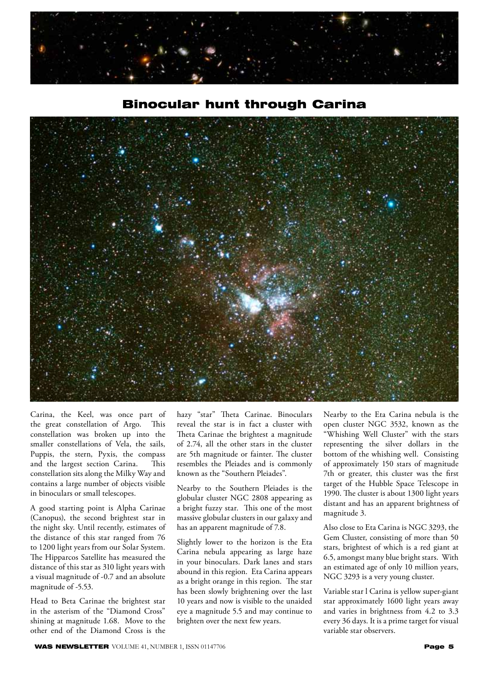





Carina, the Keel, was once part of the great constellation of Argo. This constellation was broken up into the smaller constellations of Vela, the sails, Puppis, the stern, Pyxis, the compass and the largest section Carina. This constellation sits along the Milky Way and contains a large number of objects visible in binoculars or small telescopes.

A good starting point is Alpha Carinae (Canopus), the second brightest star in the night sky. Until recently, estimates of the distance of this star ranged from 76 to 1200 light years from our Solar System. The Hipparcos Satellite has measured the distance of this star as 310 light years with a visual magnitude of -0.7 and an absolute magnitude of -5.53.

Head to Beta Carinae the brightest star in the asterism of the "Diamond Cross" shining at magnitude 1.68. Move to the other end of the Diamond Cross is the

hazy "star" Theta Carinae. Binoculars reveal the star is in fact a cluster with Theta Carinae the brightest a magnitude of 2.74, all the other stars in the cluster are 5th magnitude or fainter. The cluster resembles the Pleiades and is commonly known as the "Southern Pleiades".

Nearby to the Southern Pleiades is the globular cluster NGC 2808 appearing as a bright fuzzy star. This one of the most massive globular clusters in our galaxy and has an apparent magnitude of 7.8.

Slightly lower to the horizon is the Eta Carina nebula appearing as large haze in your binoculars. Dark lanes and stars abound in this region. Eta Carina appears as a bright orange in this region. The star has been slowly brightening over the last 10 years and now is visible to the unaided eye a magnitude 5.5 and may continue to brighten over the next few years.

Nearby to the Eta Carina nebula is the open cluster NGC 3532, known as the "Whishing Well Cluster" with the stars representing the silver dollars in the bottom of the whishing well. Consisting of approximately 150 stars of magnitude 7th or greater, this cluster was the first target of the Hubble Space Telescope in 1990. The cluster is about 1300 light years distant and has an apparent brightness of magnitude 3.

Also close to Eta Carina is NGC 3293, the Gem Cluster, consisting of more than 50 stars, brightest of which is a red giant at 6.5, amongst many blue bright stars. With an estimated age of only 10 million years, NGC 3293 is a very young cluster.

Variable star l Carina is yellow super-giant star approximately 1600 light years away and varies in brightness from 4.2 to 3.3 every 36 days. It is a prime target for visual variable star observers.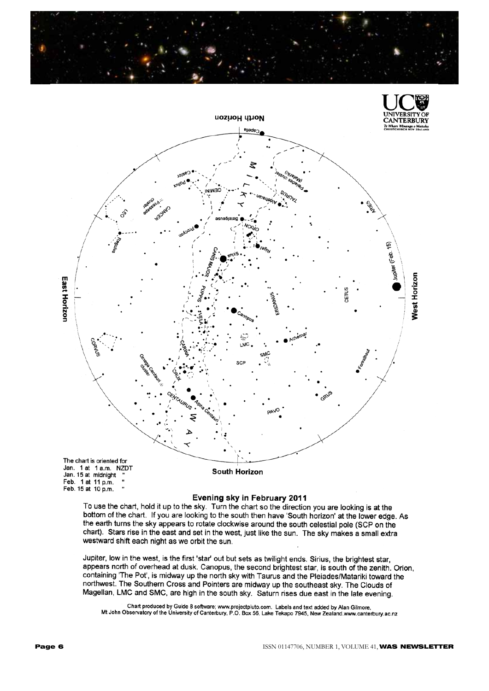



#### Evening sky in February 2011

To use the chart, hold it up to the sky. Turn the chart so the direction you are looking is at the bottom of the chart. If you are looking to the south then have 'South horizon' at the lower edge. As the earth turns the sky appears to rotate clockwise around the south celestial pole (SCP on the chart). Stars rise in the east and set in the west, just like the sun. The sky makes a small extra westward shift each night as we orbit the sun.

Jupiter, low in the west, is the first 'star' out but sets as twilight ends. Sirius, the brightest star, appears north of overhead at dusk. Canopus, the second brightest star, is south of the zenith. Orion, containing 'The Pot', is midway up the north sky with Taurus and the Pleiades/Matariki toward the northwest. The Southern Cross and Pointers are midway up the southeast sky. The Clouds of Magellan, LMC and SMC, are high in the south sky. Saturn rises due east in the late evening.

Chart produced by Guide 8 software; www.projectpluto.com. Labels and text added by Alan Gilmore, Mt John Observatory of the University of Canterbury, P.O. Box 56, Lake Tekapo 7945, New Zealand.www.canterbury.ac.nz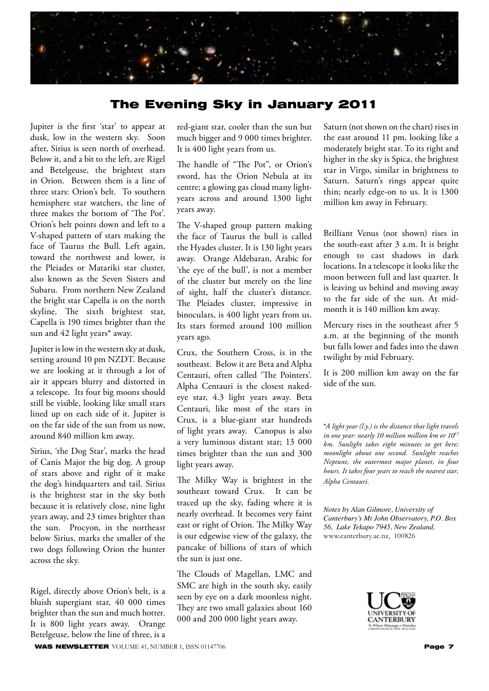

## The Evening Sky in January 2011

Jupiter is the first 'star' to appear at dusk, low in the western sky. Soon after, Sirius is seen north of overhead. Below it, and a bit to the left, are Rigel and Betelgeuse, the brightest stars in Orion. Between them is a line of three stars: Orion's belt. To southern hemisphere star watchers, the line of three makes the bottom of 'The Pot'. Orion's belt points down and left to a V-shaped pattern of stars making the face of Taurus the Bull. Left again, toward the northwest and lower, is the Pleiades or Matariki star cluster, also known as the Seven Sisters and Subaru. From northern New Zealand the bright star Capella is on the north skyline. The sixth brightest star, Capella is 190 times brighter than the sun and 42 light years\* away.

Jupiter is low in the western sky at dusk, setting around 10 pm NZDT. Because we are looking at it through a lot of air it appears blurry and distorted in a telescope. Its four big moons should still be visible, looking like small stars lined up on each side of it. Jupiter is on the far side of the sun from us now, around 840 million km away.

Sirius, 'the Dog Star', marks the head of Canis Major the big dog. A group of stars above and right of it make the dog's hindquarters and tail. Sirius is the brightest star in the sky both because it is relatively close, nine light years away, and 23 times brighter than the sun. Procyon, in the northeast below Sirius, marks the smaller of the two dogs following Orion the hunter across the sky.

Rigel, directly above Orion's belt, is a bluish supergiant star, 40 000 times brighter than the sun and much hotter. It is 800 light years away. Orange Betelgeuse, below the line of three, is a

red-giant star, cooler than the sun but much bigger and 9 000 times brighter. It is 400 light years from us.

The handle of "The Pot", or Orion's sword, has the Orion Nebula at its centre; a glowing gas cloud many lightyears across and around 1300 light years away.

The V-shaped group pattern making the face of Taurus the bull is called the Hyades cluster. It is 130 light years away. Orange Aldebaran, Arabic for 'the eye of the bull', is not a member of the cluster but merely on the line of sight, half the cluster's distance. The Pleiades cluster, impressive in binoculars, is 400 light years from us. Its stars formed around 100 million years ago.

Crux, the Southern Cross, is in the southeast. Below it are Beta and Alpha Centauri, often called 'The Pointers'. Alpha Centauri is the closest nakedeye star, 4.3 light years away. Beta Centauri, like most of the stars in Crux, is a blue-giant star hundreds of light years away. Canopus is also a very luminous distant star; 13 000 times brighter than the sun and 300 light years away.

The Milky Way is brightest in the southeast toward Crux. It can be traced up the sky, fading where it is nearly overhead. It becomes very faint east or right of Orion. The Milky Way is our edgewise view of the galaxy, the pancake of billions of stars of which the sun is just one.

The Clouds of Magellan, LMC and SMC are high in the south sky, easily seen by eye on a dark moonless night. They are two small galaxies about 160 000 and 200 000 light years away.

Saturn (not shown on the chart) rises in the east around 11 pm, looking like a moderately bright star. To its right and higher in the sky is Spica, the brightest star in Virgo, similar in brightness to Saturn. Saturn's rings appear quite thin; nearly edge-on to us. It is 1300 million km away in February.

Brilliant Venus (not shown) rises in the south-east after 3 a.m. It is bright enough to cast shadows in dark locations. In a telescope it looks like the moon between full and last quarter. It is leaving us behind and moving away to the far side of the sun. At midmonth it is 140 million km away.

Mercury rises in the southeast after 5 a.m. at the beginning of the month but falls lower and fades into the dawn twilight by mid February.

It is 200 million km away on the far side of the sun.

\**A light year (l.y.) is the distance that light travels in one year: nearly 10 million million km or 1013 km. Sunlight takes eight minutes to get here; moonlight about one second. Sunlight reaches Neptune, the outermost major planet, in four hours. It takes four years to reach the nearest star, Alpha Centauri.*

*Notes by Alan Gilmore, University of Canterbury's Mt John Observatory, P.O. Box 56, Lake Tekapo 7945, New Zealand.* www.canterbury.ac.nz, 100826